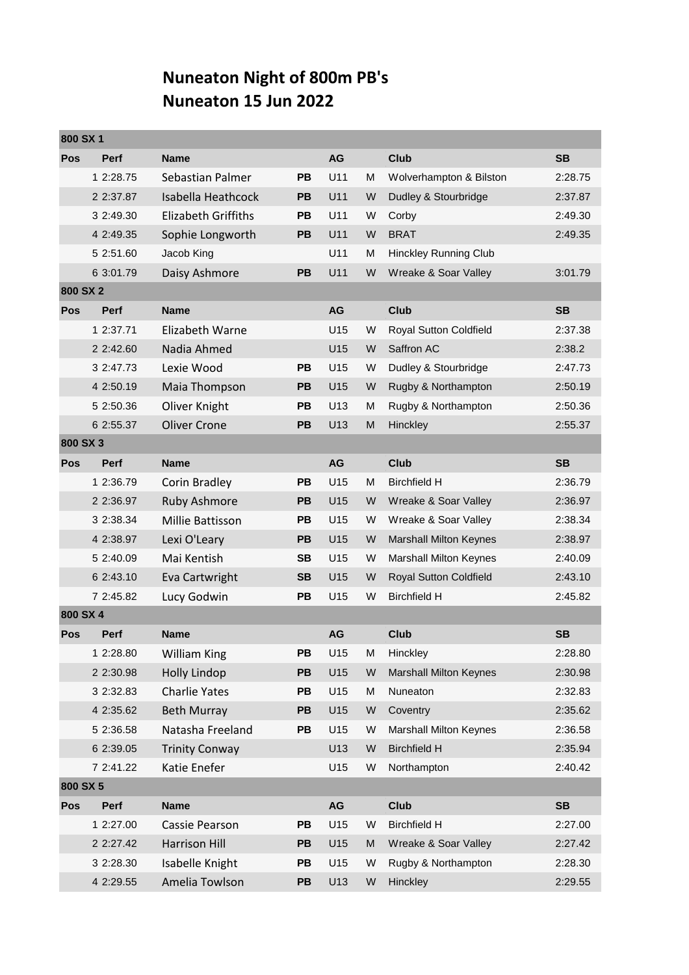## **Nuneaton Night of 800m PB's Nuneaton 15 Jun 2022**

| 800 SX 1   |             |                            |           |           |   |                               |           |
|------------|-------------|----------------------------|-----------|-----------|---|-------------------------------|-----------|
| <b>Pos</b> | <b>Perf</b> | <b>Name</b>                |           | <b>AG</b> |   | <b>Club</b>                   | <b>SB</b> |
|            | 1 2:28.75   | Sebastian Palmer           | <b>PB</b> | U11       | M | Wolverhampton & Bilston       | 2:28.75   |
|            | 2 2:37.87   | Isabella Heathcock         | <b>PB</b> | U11       | W | Dudley & Stourbridge          | 2:37.87   |
|            | 3 2:49.30   | <b>Elizabeth Griffiths</b> | <b>PB</b> | U11       | W | Corby                         | 2:49.30   |
|            | 4 2:49.35   | Sophie Longworth           | <b>PB</b> | U11       | W | <b>BRAT</b>                   | 2:49.35   |
|            | 5 2:51.60   | Jacob King                 |           | U11       | M | <b>Hinckley Running Club</b>  |           |
|            | 6 3:01.79   | Daisy Ashmore              | <b>PB</b> | U11       | W | Wreake & Soar Valley          | 3:01.79   |
| 800 SX 2   |             |                            |           |           |   |                               |           |
| <b>Pos</b> | <b>Perf</b> | <b>Name</b>                |           | AG        |   | Club                          | <b>SB</b> |
|            | 1 2:37.71   | Elizabeth Warne            |           | U15       | W | Royal Sutton Coldfield        | 2:37.38   |
|            | 2 2:42.60   | Nadia Ahmed                |           | U15       | W | Saffron AC                    | 2:38.2    |
|            | 3 2:47.73   | Lexie Wood                 | <b>PB</b> | U15       | W | Dudley & Stourbridge          | 2:47.73   |
|            | 4 2:50.19   | Maia Thompson              | <b>PB</b> | U15       | W | Rugby & Northampton           | 2:50.19   |
|            | 5 2:50.36   | Oliver Knight              | PB        | U13       | M | Rugby & Northampton           | 2:50.36   |
|            | 6 2:55.37   | <b>Oliver Crone</b>        | <b>PB</b> | U13       | M | Hinckley                      | 2:55.37   |
| 800 SX 3   |             |                            |           |           |   |                               |           |
| Pos        | <b>Perf</b> | <b>Name</b>                |           | AG        |   | Club                          | <b>SB</b> |
|            | 1 2:36.79   | Corin Bradley              | <b>PB</b> | U15       | M | <b>Birchfield H</b>           | 2:36.79   |
|            | 2 2:36.97   | Ruby Ashmore               | PB        | U15       | W | Wreake & Soar Valley          | 2:36.97   |
|            | 3 2:38.34   | Millie Battisson           | <b>PB</b> | U15       | W | Wreake & Soar Valley          | 2:38.34   |
|            | 4 2:38.97   | Lexi O'Leary               | <b>PB</b> | U15       | W | <b>Marshall Milton Keynes</b> | 2:38.97   |
|            | 5 2:40.09   | Mai Kentish                | <b>SB</b> | U15       | W | <b>Marshall Milton Keynes</b> | 2:40.09   |
|            | 6 2:43.10   | Eva Cartwright             | <b>SB</b> | U15       | W | Royal Sutton Coldfield        | 2:43.10   |
|            | 7 2:45.82   | Lucy Godwin                | <b>PB</b> | U15       | W | <b>Birchfield H</b>           | 2:45.82   |
| 800 SX 4   |             |                            |           |           |   |                               |           |
| Pos        | <b>Perf</b> | <b>Name</b>                |           | AG        |   | <b>Club</b>                   | <b>SB</b> |
|            | 1 2:28.80   | William King               | РB        | U15       | Μ | Hinckley                      | 2:28.80   |
|            | 2 2:30.98   | <b>Holly Lindop</b>        | <b>PB</b> | U15       | W | <b>Marshall Milton Keynes</b> | 2:30.98   |
|            | 3 2:32.83   | <b>Charlie Yates</b>       | PB        | U15       | M | Nuneaton                      | 2:32.83   |
|            | 4 2:35.62   | <b>Beth Murray</b>         | PB        | U15       | W | Coventry                      | 2:35.62   |
|            | 5 2:36.58   | Natasha Freeland           | PB        | U15       | W | <b>Marshall Milton Keynes</b> | 2:36.58   |
|            | 6 2:39.05   | <b>Trinity Conway</b>      |           | U13       | W | <b>Birchfield H</b>           | 2:35.94   |
|            | 7 2:41.22   | Katie Enefer               |           | U15       | W | Northampton                   | 2:40.42   |
| 800 SX 5   |             |                            |           |           |   |                               |           |
| Pos        | <b>Perf</b> | <b>Name</b>                |           | AG        |   | Club                          | <b>SB</b> |
|            | 1 2:27.00   | Cassie Pearson             | PB        | U15       | W | <b>Birchfield H</b>           | 2:27.00   |
|            | 2 2:27.42   | Harrison Hill              | PB        | U15       | M | Wreake & Soar Valley          | 2:27.42   |
|            | 3 2:28.30   | Isabelle Knight            | PB        | U15       | W | Rugby & Northampton           | 2:28.30   |
|            | 4 2:29.55   | Amelia Towlson             | PB        | U13       | W | Hinckley                      | 2:29.55   |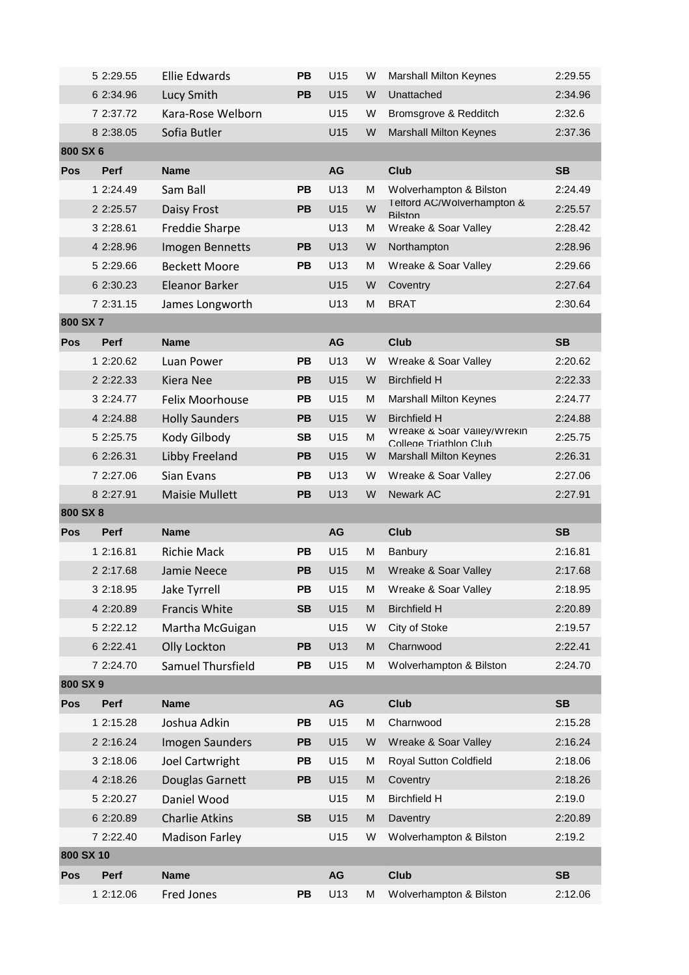|            | 5 2:29.55   | <b>Ellie Edwards</b>  | <b>PB</b> | U15       | W | <b>Marshall Milton Keynes</b>                         | 2:29.55   |
|------------|-------------|-----------------------|-----------|-----------|---|-------------------------------------------------------|-----------|
|            | 6 2:34.96   | Lucy Smith            | <b>PB</b> | U15       | W | Unattached                                            | 2:34.96   |
|            | 7 2:37.72   | Kara-Rose Welborn     |           | U15       | W | Bromsgrove & Redditch                                 | 2:32.6    |
|            | 8 2:38.05   | Sofia Butler          |           | U15       | W | <b>Marshall Milton Keynes</b>                         | 2:37.36   |
| 800 SX 6   |             |                       |           |           |   |                                                       |           |
| Pos        | <b>Perf</b> | <b>Name</b>           |           | AG        |   | <b>Club</b>                                           | <b>SB</b> |
|            | 1 2:24.49   | Sam Ball              | PB        | U13       | м | Wolverhampton & Bilston                               | 2:24.49   |
|            | 2 2:25.57   | Daisy Frost           | PB        | U15       | W | I eltord AC/Wolverhampton &<br><b>Bilston</b>         | 2:25.57   |
|            | 3 2:28.61   | <b>Freddie Sharpe</b> |           | U13       | M | Wreake & Soar Valley                                  | 2:28.42   |
|            | 4 2:28.96   | Imogen Bennetts       | PB        | U13       | W | Northampton                                           | 2:28.96   |
|            | 5 2:29.66   | <b>Beckett Moore</b>  | PB        | U13       | М | Wreake & Soar Valley                                  | 2:29.66   |
|            | 6 2:30.23   | Eleanor Barker        |           | U15       | W | Coventry                                              | 2:27.64   |
|            | 7 2:31.15   | James Longworth       |           | U13       | M | <b>BRAT</b>                                           | 2:30.64   |
| 800 SX 7   |             |                       |           |           |   |                                                       |           |
| Pos        | <b>Perf</b> | <b>Name</b>           |           | AG        |   | <b>Club</b>                                           | <b>SB</b> |
|            | 1 2:20.62   | Luan Power            | <b>PB</b> | U13       | W | Wreake & Soar Valley                                  | 2:20.62   |
|            | 2 2:22.33   | <b>Kiera Nee</b>      | <b>PB</b> | U15       | W | <b>Birchfield H</b>                                   | 2:22.33   |
|            | 3 2:24.77   | Felix Moorhouse       | PB        | U15       | M | <b>Marshall Milton Keynes</b>                         | 2:24.77   |
|            | 4 2:24.88   | <b>Holly Saunders</b> | <b>PB</b> | U15       | W | <b>Birchfield H</b>                                   | 2:24.88   |
|            | 5 2:25.75   | Kody Gilbody          | <b>SB</b> | U15       | M | Wreake & Soar Valley/Wrekin<br>College Triathlon Club | 2:25.75   |
|            | 6 2:26.31   | Libby Freeland        | PB        | U15       | W | <b>Marshall Milton Keynes</b>                         | 2:26.31   |
|            | 7 2:27.06   | Sian Evans            | <b>PB</b> | U13       | W | Wreake & Soar Valley                                  | 2:27.06   |
|            |             |                       |           |           |   |                                                       |           |
|            | 8 2:27.91   | <b>Maisie Mullett</b> | PB        | U13       | W | Newark AC                                             | 2:27.91   |
| 800 SX 8   |             |                       |           |           |   |                                                       |           |
| <b>Pos</b> | <b>Perf</b> | <b>Name</b>           |           | <b>AG</b> |   | <b>Club</b>                                           | <b>SB</b> |
|            | 1 2:16.81   | <b>Richie Mack</b>    | PВ        | U15       | M | Banbury                                               | 2:16.81   |
|            | 2 2:17.68   | Jamie Neece           | <b>PB</b> | U15       | м | Wreake & Soar Valley                                  | 2:17.68   |
|            | 3 2:18.95   | Jake Tyrrell          | PB        | U15       | M | Wreake & Soar Valley                                  | 2:18.95   |
|            | 4 2:20.89   | Francis White         | <b>SB</b> | U15       | M | <b>Birchfield H</b>                                   | 2:20.89   |
|            | 5 2:22.12   | Martha McGuigan       |           | U15       | W | City of Stoke                                         | 2:19.57   |
|            | 6 2:22.41   | Olly Lockton          | PB        | U13       | M | Charnwood                                             | 2:22.41   |
|            | 7 2:24.70   | Samuel Thursfield     | PB        | U15       | м | Wolverhampton & Bilston                               | 2:24.70   |
| 800 SX 9   |             |                       |           |           |   |                                                       |           |
| Pos        | Perf        | <b>Name</b>           |           | AG        |   | <b>Club</b>                                           | <b>SB</b> |
|            | 1 2:15.28   | Joshua Adkin          | PB        | U15       | M | Charnwood                                             | 2:15.28   |
|            | 2 2:16.24   | Imogen Saunders       | PB        | U15       | W | Wreake & Soar Valley                                  | 2:16.24   |
|            | 3 2:18.06   | Joel Cartwright       | PB        | U15       | M | Royal Sutton Coldfield                                | 2:18.06   |
|            | 4 2:18.26   | Douglas Garnett       | PB        | U15       | M | Coventry                                              | 2:18.26   |
|            | 5 2:20.27   | Daniel Wood           |           | U15       | M | <b>Birchfield H</b>                                   | 2:19.0    |
|            | 6 2:20.89   | <b>Charlie Atkins</b> | <b>SB</b> | U15       | M | Daventry                                              | 2:20.89   |
|            | 7 2:22.40   | <b>Madison Farley</b> |           | U15       | W | Wolverhampton & Bilston                               | 2:19.2    |
| 800 SX 10  |             |                       |           |           |   |                                                       |           |
| Pos        | Perf        | <b>Name</b>           |           | AG        |   | <b>Club</b>                                           | <b>SB</b> |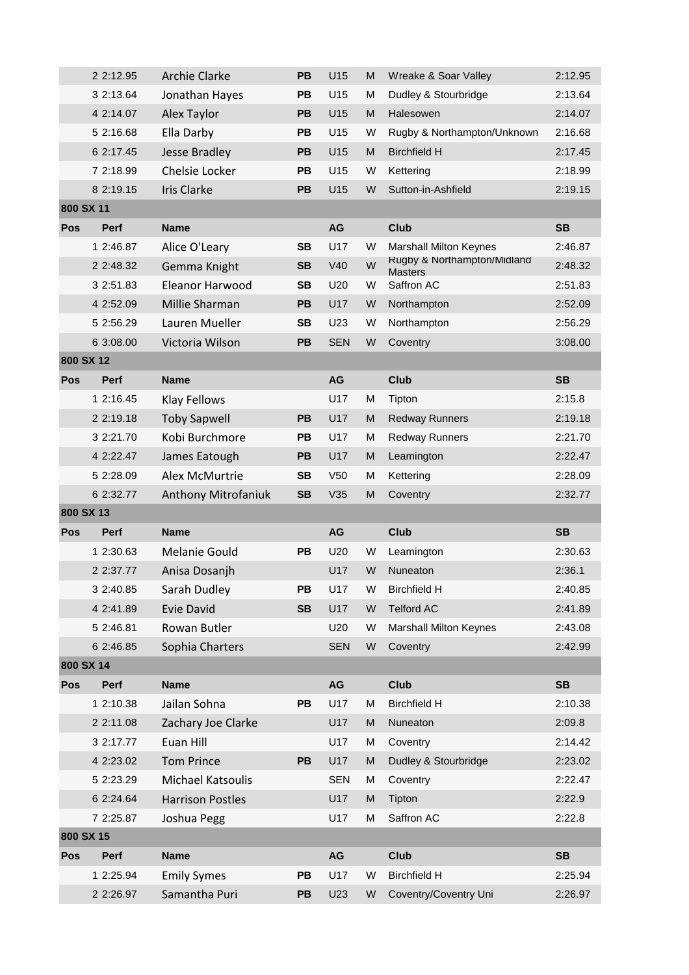|            | 2 2:12.95   | <b>Archie Clarke</b>    | <b>PB</b> | U15             | М | Wreake & Soar Valley                          | 2:12.95   |
|------------|-------------|-------------------------|-----------|-----------------|---|-----------------------------------------------|-----------|
|            | 3 2:13.64   | Jonathan Hayes          | <b>PB</b> | U15             | м | Dudley & Stourbridge                          | 2:13.64   |
|            | 4 2:14.07   | Alex Taylor             | <b>PB</b> | U15             | M | Halesowen                                     | 2:14.07   |
|            | 5 2:16.68   | Ella Darby              | PB        | U15             | W | Rugby & Northampton/Unknown                   | 2:16.68   |
|            | 6 2:17.45   | Jesse Bradley           | PB        | U15             | M | <b>Birchfield H</b>                           | 2:17.45   |
|            | 7 2:18.99   | Chelsie Locker          | <b>PB</b> | U15             | W | Kettering                                     | 2:18.99   |
|            | 8 2:19.15   | <b>Iris Clarke</b>      | <b>PB</b> | U15             | W | Sutton-in-Ashfield                            | 2:19.15   |
| 800 SX 11  |             |                         |           |                 |   |                                               |           |
| <b>Pos</b> | Perf        | <b>Name</b>             |           | AG              |   | <b>Club</b>                                   | <b>SB</b> |
|            | 1 2:46.87   | Alice O'Leary           | <b>SB</b> | U17             | W | <b>Marshall Milton Keynes</b>                 | 2:46.87   |
|            | 2 2:48.32   | Gemma Knight            | <b>SB</b> | V40             | W | Rugby & Northampton/Midland<br><b>Masters</b> | 2:48.32   |
|            | 3 2:51.83   | Eleanor Harwood         | <b>SB</b> | U20             | W | Saffron AC                                    | 2:51.83   |
|            | 4 2:52.09   | Millie Sharman          | PB        | U17             | W | Northampton                                   | 2:52.09   |
|            | 5 2:56.29   | Lauren Mueller          | <b>SB</b> | U23             | W | Northampton                                   | 2:56.29   |
|            | 6 3:08.00   | Victoria Wilson         | <b>PB</b> | <b>SEN</b>      | W | Coventry                                      | 3:08.00   |
| 800 SX 12  |             |                         |           |                 |   |                                               |           |
| <b>Pos</b> | <b>Perf</b> | <b>Name</b>             |           | <b>AG</b>       |   | Club                                          | <b>SB</b> |
|            | 1 2:16.45   | <b>Klay Fellows</b>     |           | U17             | M | Tipton                                        | 2:15.8    |
|            | 2 2:19.18   | <b>Toby Sapwell</b>     | <b>PB</b> | U17             | M | <b>Redway Runners</b>                         | 2:19.18   |
|            | 3 2:21.70   | Kobi Burchmore          | PВ        | U17             | M | <b>Redway Runners</b>                         | 2:21.70   |
|            | 4 2:22.47   | James Eatough           | PB        | U17             | M | Leamington                                    | 2:22.47   |
|            | 5 2:28.09   | Alex McMurtrie          | <b>SB</b> | V <sub>50</sub> | М | Kettering                                     | 2:28.09   |
|            |             |                         |           |                 |   |                                               |           |
|            | 6 2:32.77   | Anthony Mitrofaniuk     | <b>SB</b> | V35             | M | Coventry                                      | 2:32.77   |
| 800 SX 13  |             |                         |           |                 |   |                                               |           |
| <b>Pos</b> | <b>Perf</b> | <b>Name</b>             |           | <b>AG</b>       |   | Club                                          | <b>SB</b> |
|            | 1 2:30.63   | <b>Melanie Gould</b>    | <b>PB</b> | U20             | W | Leamington                                    | 2:30.63   |
|            | 2 2:37.77   | Anisa Dosanjh           |           | U17             | W | Nuneaton                                      | 2:36.1    |
|            | 3 2:40.85   | Sarah Dudley            | PВ        | U17             | W | <b>Birchfield H</b>                           | 2:40.85   |
|            | 4 2:41.89   | <b>Evie David</b>       | <b>SB</b> | U17             | W | <b>Telford AC</b>                             | 2:41.89   |
|            | 5 2:46.81   | Rowan Butler            |           | U20             | W | <b>Marshall Milton Keynes</b>                 | 2:43.08   |
|            | 6 2:46.85   | Sophia Charters         |           | <b>SEN</b>      | W | Coventry                                      | 2:42.99   |
| 800 SX 14  |             |                         |           |                 |   |                                               |           |
| Pos        | <b>Perf</b> | <b>Name</b>             |           | AG              |   | <b>Club</b>                                   | <b>SB</b> |
|            | 1 2:10.38   | Jailan Sohna            | PB        | U17             | M | <b>Birchfield H</b>                           | 2:10.38   |
|            | 2 2:11.08   | Zachary Joe Clarke      |           | U17             | M | Nuneaton                                      | 2:09.8    |
|            | 3 2:17.77   | Euan Hill               |           | U17             | M | Coventry                                      | 2:14.42   |
|            | 4 2:23.02   | <b>Tom Prince</b>       | <b>PB</b> | U17             | M | Dudley & Stourbridge                          | 2:23.02   |
|            | 5 2:23.29   | Michael Katsoulis       |           | <b>SEN</b>      | M | Coventry                                      | 2:22.47   |
|            | 6 2:24.64   | <b>Harrison Postles</b> |           | U17             | M | Tipton                                        | 2:22.9    |
|            | 7 2:25.87   | Joshua Pegg             |           | U17             | M | Saffron AC                                    | 2:22.8    |
| 800 SX 15  |             |                         |           |                 |   |                                               |           |
| Pos        | Perf        | <b>Name</b>             |           | AG              |   | <b>Club</b>                                   | <b>SB</b> |
|            | 1 2:25.94   | <b>Emily Symes</b>      | PB        | U17             | W | <b>Birchfield H</b>                           | 2:25.94   |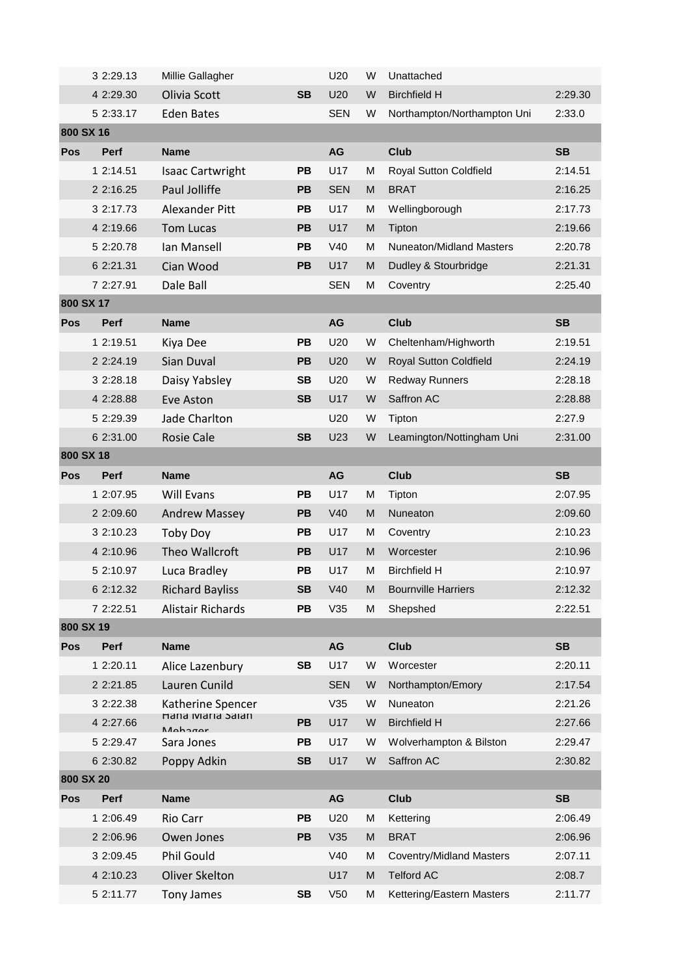|            | 3 2:29.13   | Millie Gallagher                        |           | U20        | W | Unattached                      |           |
|------------|-------------|-----------------------------------------|-----------|------------|---|---------------------------------|-----------|
|            | 4 2:29.30   | Olivia Scott                            | <b>SB</b> | U20        | W | <b>Birchfield H</b>             | 2:29.30   |
|            | 5 2:33.17   | <b>Eden Bates</b>                       |           | <b>SEN</b> | W | Northampton/Northampton Uni     | 2:33.0    |
| 800 SX 16  |             |                                         |           |            |   |                                 |           |
| <b>Pos</b> | <b>Perf</b> | <b>Name</b>                             |           | AG         |   | <b>Club</b>                     | <b>SB</b> |
|            | 1 2:14.51   | <b>Isaac Cartwright</b>                 | <b>PB</b> | U17        | M | Royal Sutton Coldfield          | 2:14.51   |
|            | 2 2:16.25   | Paul Jolliffe                           | <b>PB</b> | <b>SEN</b> | M | <b>BRAT</b>                     | 2:16.25   |
|            | 3 2:17.73   | <b>Alexander Pitt</b>                   | <b>PB</b> | U17        | м | Wellingborough                  | 2:17.73   |
|            | 4 2:19.66   | <b>Tom Lucas</b>                        | <b>PB</b> | U17        | M | Tipton                          | 2:19.66   |
|            | 5 2:20.78   | Ian Mansell                             | <b>PB</b> | V40        | м | Nuneaton/Midland Masters        | 2:20.78   |
|            | 6 2:21.31   | Cian Wood                               | PB        | U17        | M | Dudley & Stourbridge            | 2:21.31   |
|            | 7 2:27.91   | Dale Ball                               |           | <b>SEN</b> | м | Coventry                        | 2:25.40   |
| 800 SX 17  |             |                                         |           |            |   |                                 |           |
| <b>Pos</b> | Perf        | <b>Name</b>                             |           | AG         |   | <b>Club</b>                     | <b>SB</b> |
|            | 1 2:19.51   | Kiya Dee                                | PB        | U20        | W | Cheltenham/Highworth            | 2:19.51   |
|            | 2 2:24.19   | Sian Duval                              | PB        | U20        | W | Royal Sutton Coldfield          | 2:24.19   |
|            | 3 2:28.18   | Daisy Yabsley                           | <b>SB</b> | U20        | W | <b>Redway Runners</b>           | 2:28.18   |
|            | 4 2:28.88   | Eve Aston                               | <b>SB</b> | U17        | W | Saffron AC                      | 2:28.88   |
|            | 5 2:29.39   | Jade Charlton                           |           | U20        | W | Tipton                          | 2:27.9    |
|            | 6 2:31.00   | <b>Rosie Cale</b>                       | <b>SB</b> | U23        | W | Leamington/Nottingham Uni       | 2:31.00   |
| 800 SX 18  |             |                                         |           |            |   |                                 |           |
| Pos        | Perf        | <b>Name</b>                             |           | AG         |   | <b>Club</b>                     | <b>SB</b> |
|            | 1 2:07.95   | <b>Will Evans</b>                       | PB        | U17        | М | Tipton                          | 2:07.95   |
|            | 2 2:09.60   | <b>Andrew Massey</b>                    | PB        | V40        | M | Nuneaton                        | 2:09.60   |
|            | 3 2:10.23   | Toby Doy                                | PB        | U17        | M | Coventry                        | 2:10.23   |
|            | 4 2:10.96   | Theo Wallcroft                          | PB        | U17        | M | Worcester                       | 2:10.96   |
|            | 5 2:10.97   | Luca Bradley                            | PB        | U17        | М | <b>Birchfield H</b>             | 2:10.97   |
|            | 6 2:12.32   | <b>Richard Bayliss</b>                  | SB        | V40        | M | <b>Bournville Harriers</b>      | 2:12.32   |
|            | 7 2:22.51   | Alistair Richards                       | PB        | V35        | м | Shepshed                        | 2:22.51   |
| 800 SX 19  |             |                                         |           |            |   |                                 |           |
| <b>Pos</b> | Perf        | <b>Name</b>                             |           | AG         |   | Club                            | <b>SB</b> |
|            | 1 2:20.11   | Alice Lazenbury                         | <b>SB</b> | U17        | W | Worcester                       | 2:20.11   |
|            | 2 2:21.85   | Lauren Cunild                           |           | <b>SEN</b> | W | Northampton/Emory               | 2:17.54   |
|            | 3 2:22.38   | Katherine Spencer<br>Hana iviaria Salan |           | V35        | W | Nuneaton                        | 2:21.26   |
|            | 4 2:27.66   | M <sub>oh</sub> 2 <sub>max</sub>        | PB        | U17        | W | <b>Birchfield H</b>             | 2:27.66   |
|            | 5 2:29.47   | Sara Jones                              | PB        | U17        | W | Wolverhampton & Bilston         | 2:29.47   |
|            | 6 2:30.82   | Poppy Adkin                             | <b>SB</b> | U17        | W | Saffron AC                      | 2:30.82   |
| 800 SX 20  |             |                                         |           |            |   |                                 |           |
| <b>Pos</b> | Perf        | <b>Name</b>                             |           | AG         |   | <b>Club</b>                     | <b>SB</b> |
|            | 1 2:06.49   | Rio Carr                                | <b>PB</b> | U20        | M | Kettering                       | 2:06.49   |
|            | 2 2:06.96   | Owen Jones                              | PB        | V35        | M | <b>BRAT</b>                     | 2:06.96   |
|            | 3 2:09.45   | Phil Gould                              |           | V40        | M | <b>Coventry/Midland Masters</b> | 2:07.11   |
|            | 4 2:10.23   | Oliver Skelton                          |           | U17        | M | <b>Telford AC</b>               | 2:08.7    |
|            | 5 2:11.77   |                                         | <b>SB</b> |            |   |                                 |           |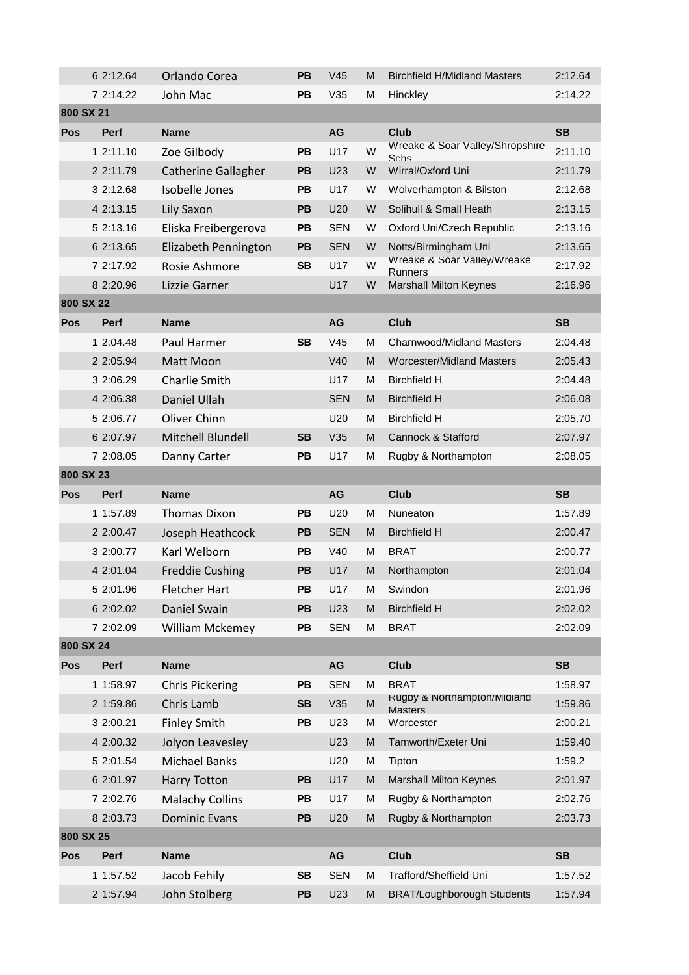|            | 6 2:12.64   | Orlando Corea              | <b>PB</b> | V <sub>45</sub> | М | <b>Birchfield H/Midland Masters</b>           | 2:12.64   |
|------------|-------------|----------------------------|-----------|-----------------|---|-----------------------------------------------|-----------|
|            | 7 2:14.22   | John Mac                   | <b>PB</b> | V35             | м | Hinckley                                      | 2:14.22   |
| 800 SX 21  |             |                            |           |                 |   |                                               |           |
| Pos        | <b>Perf</b> | <b>Name</b>                |           | <b>AG</b>       |   | <b>Club</b>                                   | <b>SB</b> |
|            | 1 2:11.10   | Zoe Gilbody                | PB        | U17             | W | Wreake & Soar Valley/Shropshire<br>Schs       | 2:11.10   |
|            | 2 2:11.79   | <b>Catherine Gallagher</b> | <b>PB</b> | U23             | W | Wirral/Oxford Uni                             | 2:11.79   |
|            | 3 2:12.68   | Isobelle Jones             | PB        | U17             | W | Wolverhampton & Bilston                       | 2:12.68   |
|            | 4 2:13.15   | Lily Saxon                 | PB        | U20             | W | Solihull & Small Heath                        | 2:13.15   |
|            | 5 2:13.16   | Eliska Freibergerova       | <b>PB</b> | <b>SEN</b>      | W | Oxford Uni/Czech Republic                     | 2:13.16   |
|            | 6 2:13.65   | Elizabeth Pennington       | PB        | <b>SEN</b>      | W | Notts/Birmingham Uni                          | 2:13.65   |
|            | 7 2:17.92   | Rosie Ashmore              | <b>SB</b> | U17             | W | Wreake & Soar Valley/Wreake<br>Runners        | 2:17.92   |
|            | 8 2:20.96   | Lizzie Garner              |           | U17             | W | <b>Marshall Milton Keynes</b>                 | 2:16.96   |
| 800 SX 22  |             |                            |           |                 |   |                                               |           |
| Pos        | Perf        | <b>Name</b>                |           | <b>AG</b>       |   | <b>Club</b>                                   | <b>SB</b> |
|            | 1 2:04.48   | Paul Harmer                | <b>SB</b> | V45             | М | <b>Charnwood/Midland Masters</b>              | 2:04.48   |
|            | 2 2:05.94   | Matt Moon                  |           | V40             | M | <b>Worcester/Midland Masters</b>              | 2:05.43   |
|            | 3 2:06.29   | Charlie Smith              |           | U17             | м | <b>Birchfield H</b>                           | 2:04.48   |
|            | 4 2:06.38   | Daniel Ullah               |           | <b>SEN</b>      | M | <b>Birchfield H</b>                           | 2:06.08   |
|            | 5 2:06.77   | Oliver Chinn               |           | U20             | м | <b>Birchfield H</b>                           | 2:05.70   |
|            | 6 2:07.97   | Mitchell Blundell          | <b>SB</b> | V35             | M | Cannock & Stafford                            | 2:07.97   |
|            | 7 2:08.05   | Danny Carter               | PВ        | U17             | М | Rugby & Northampton                           | 2:08.05   |
| 800 SX 23  |             |                            |           |                 |   |                                               |           |
|            |             |                            |           |                 |   |                                               |           |
| <b>Pos</b> | <b>Perf</b> | <b>Name</b>                |           | <b>AG</b>       |   | <b>Club</b>                                   | <b>SB</b> |
|            | 1 1:57.89   | <b>Thomas Dixon</b>        | PВ        | U <sub>20</sub> | М | Nuneaton                                      | 1:57.89   |
|            | 2 2:00.47   | Joseph Heathcock           | <b>PB</b> | <b>SEN</b>      | M | <b>Birchfield H</b>                           | 2:00.47   |
|            | 3 2:00.77   | Karl Welborn               | <b>PB</b> | V40             | M | <b>BRAT</b>                                   | 2:00.77   |
|            | 4 2:01.04   | <b>Freddie Cushing</b>     | PB        | U17             | M | Northampton                                   | 2:01.04   |
|            | 5 2:01.96   | <b>Fletcher Hart</b>       | PB        | U17             | M | Swindon                                       | 2:01.96   |
|            | 6 2:02.02   | Daniel Swain               | <b>PB</b> | U23             | M | <b>Birchfield H</b>                           | 2:02.02   |
|            | 7 2:02.09   | William Mckemey            | PB        | <b>SEN</b>      | M | <b>BRAT</b>                                   | 2:02.09   |
| 800 SX 24  |             |                            |           |                 |   |                                               |           |
| Pos        | Perf        | <b>Name</b>                |           | AG              |   | <b>Club</b>                                   | <b>SB</b> |
|            | 1 1:58.97   | <b>Chris Pickering</b>     | PB        | <b>SEN</b>      | M | <b>BRAT</b>                                   | 1:58.97   |
|            | 2 1:59.86   | Chris Lamb                 | <b>SB</b> | V35             | M | Rugby & Northampton/Midland<br><b>Masters</b> | 1:59.86   |
|            | 3 2:00.21   | <b>Finley Smith</b>        | PB        | U23             | М | Worcester                                     | 2:00.21   |
|            | 4 2:00.32   | Jolyon Leavesley           |           | U23             | M | Tamworth/Exeter Uni                           | 1:59.40   |
|            | 5 2:01.54   | <b>Michael Banks</b>       |           | U20             | M | Tipton                                        | 1:59.2    |
|            | 6 2:01.97   | <b>Harry Totton</b>        | PB        | U17             | M | <b>Marshall Milton Keynes</b>                 | 2:01.97   |
|            | 7 2:02.76   | <b>Malachy Collins</b>     | PB        | U17             | M | Rugby & Northampton                           | 2:02.76   |
|            | 8 2:03.73   | <b>Dominic Evans</b>       | PB        | U20             | м | Rugby & Northampton                           | 2:03.73   |
| 800 SX 25  |             |                            |           |                 |   |                                               |           |
| Pos        | Perf        | <b>Name</b>                |           | AG              |   | <b>Club</b>                                   | <b>SB</b> |
|            | 1 1:57.52   | Jacob Fehily               | <b>SB</b> | <b>SEN</b>      | M | Trafford/Sheffield Uni                        | 1:57.52   |